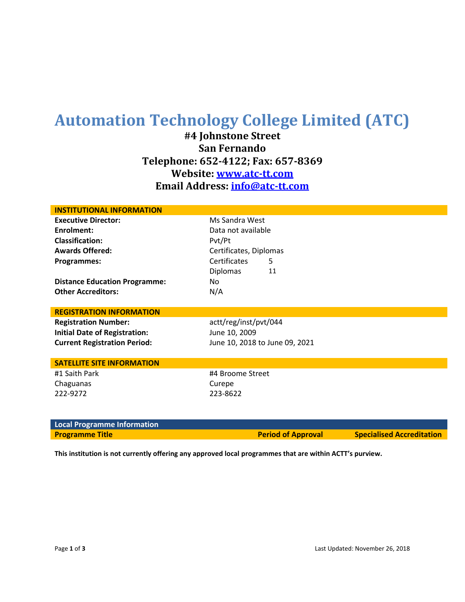# **Automation Technology College Limited (ATC)**

**#4 Johnstone Street San Fernando Telephone: 652-4122; Fax: 657-8369 Website: www.atc-tt.com Email Address: [info@atc-tt.com](mailto:info@atc-tt.com)**

| <b>INSTITUTIONAL INFORMATION</b>     |                                |  |
|--------------------------------------|--------------------------------|--|
| <b>Executive Director:</b>           | Ms Sandra West                 |  |
| Enrolment:                           | Data not available             |  |
| <b>Classification:</b>               | Pvt/Pt                         |  |
| <b>Awards Offered:</b>               | Certificates, Diplomas         |  |
| Programmes:                          | Certificates<br>5              |  |
|                                      | 11<br>Diplomas                 |  |
| <b>Distance Education Programme:</b> | No.                            |  |
| <b>Other Accreditors:</b>            | N/A                            |  |
|                                      |                                |  |
| <b>REGISTRATION INFORMATION</b>      |                                |  |
| <b>Registration Number:</b>          | actt/reg/inst/pvt/044          |  |
| <b>Initial Date of Registration:</b> | June 10, 2009                  |  |
| <b>Current Registration Period:</b>  | June 10, 2018 to June 09, 2021 |  |
|                                      |                                |  |
| <b>SATELLITE SITE INFORMATION</b>    |                                |  |
| #1 Saith Park                        | #4 Broome Street               |  |
| Chaguanas                            | Curepe                         |  |
| 222-9272                             | 223-8622                       |  |
|                                      |                                |  |
|                                      |                                |  |
| <b>Local Programme Information</b>   |                                |  |

**Programme Title Accreditation Period of Approval Specialised Accreditation** 

**This institution is not currently offering any approved local programmes that are within ACTT's purview.**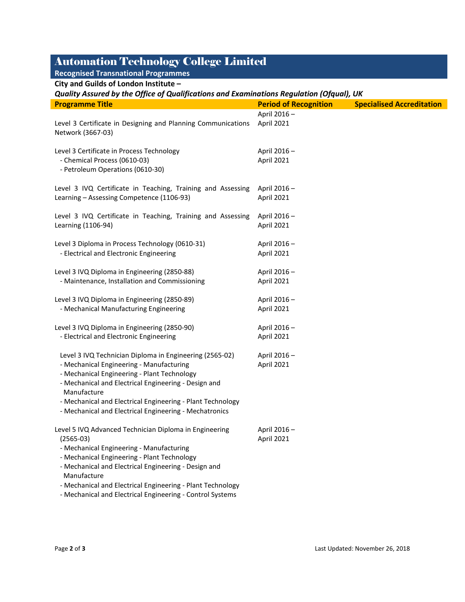## Automation Technology College Limited

| <b>Recognised Transnational Programmes</b>                                                                                                                                                                                                                                                                                                        |                              |                                  |  |  |
|---------------------------------------------------------------------------------------------------------------------------------------------------------------------------------------------------------------------------------------------------------------------------------------------------------------------------------------------------|------------------------------|----------------------------------|--|--|
| City and Guilds of London Institute -                                                                                                                                                                                                                                                                                                             |                              |                                  |  |  |
| Quality Assured by the Office of Qualifications and Examinations Regulation (Ofqual), UK                                                                                                                                                                                                                                                          |                              |                                  |  |  |
| <b>Programme Title</b>                                                                                                                                                                                                                                                                                                                            | <b>Period of Recognition</b> | <b>Specialised Accreditation</b> |  |  |
| Level 3 Certificate in Designing and Planning Communications<br>Network (3667-03)                                                                                                                                                                                                                                                                 | April 2016-<br>April 2021    |                                  |  |  |
| Level 3 Certificate in Process Technology<br>- Chemical Process (0610-03)<br>- Petroleum Operations (0610-30)                                                                                                                                                                                                                                     | April 2016-<br>April 2021    |                                  |  |  |
| Level 3 IVQ Certificate in Teaching, Training and Assessing<br>Learning - Assessing Competence (1106-93)                                                                                                                                                                                                                                          | April 2016-<br>April 2021    |                                  |  |  |
| Level 3 IVQ Certificate in Teaching, Training and Assessing<br>Learning (1106-94)                                                                                                                                                                                                                                                                 | April 2016 -<br>April 2021   |                                  |  |  |
| Level 3 Diploma in Process Technology (0610-31)<br>- Electrical and Electronic Engineering                                                                                                                                                                                                                                                        | April 2016-<br>April 2021    |                                  |  |  |
| Level 3 IVQ Diploma in Engineering (2850-88)<br>- Maintenance, Installation and Commissioning                                                                                                                                                                                                                                                     | April 2016-<br>April 2021    |                                  |  |  |
| Level 3 IVQ Diploma in Engineering (2850-89)<br>- Mechanical Manufacturing Engineering                                                                                                                                                                                                                                                            | April 2016-<br>April 2021    |                                  |  |  |
| Level 3 IVQ Diploma in Engineering (2850-90)<br>- Electrical and Electronic Engineering                                                                                                                                                                                                                                                           | April 2016-<br>April 2021    |                                  |  |  |
| Level 3 IVQ Technician Diploma in Engineering (2565-02)<br>- Mechanical Engineering - Manufacturing<br>- Mechanical Engineering - Plant Technology<br>- Mechanical and Electrical Engineering - Design and<br>Manufacture<br>- Mechanical and Electrical Engineering - Plant Technology<br>- Mechanical and Electrical Engineering - Mechatronics | April 2016-<br>April 2021    |                                  |  |  |
| Level 5 IVQ Advanced Technician Diploma in Engineering<br>$(2565-03)$<br>- Mechanical Engineering - Manufacturing<br>- Mechanical Engineering - Plant Technology<br>- Mechanical and Electrical Engineering - Design and<br>Manufacture<br>- Mechanical and Electrical Engineering - Plant Technology                                             | April 2016-<br>April 2021    |                                  |  |  |

- Mechanical and Electrical Engineering - Control Systems